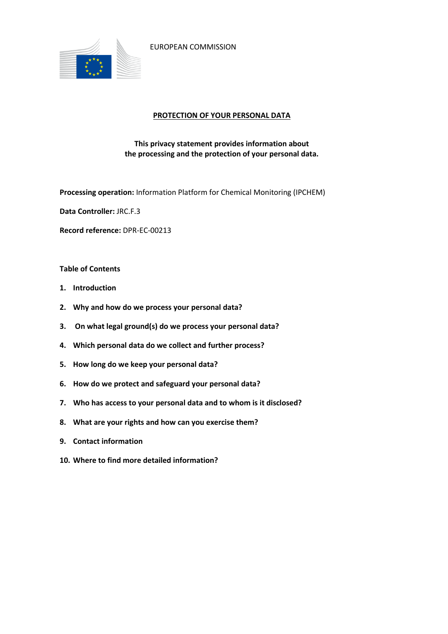

EUROPEAN COMMISSION

## **PROTECTION OF YOUR PERSONAL DATA**

## **This privacy statement provides information about the processing and the protection of your personal data.**

**Processing operation:** Information Platform for Chemical Monitoring (IPCHEM)

**Data Controller:** JRC.F.3

**Record reference:** DPR-EC-00213

#### **Table of Contents**

- **1. Introduction**
- **2. Why and how do we process your personal data?**
- **3. On what legal ground(s) do we process your personal data?**
- **4. Which personal data do we collect and further process?**
- **5. How long do we keep your personal data?**
- **6. How do we protect and safeguard your personal data?**
- **7. Who has access to your personal data and to whom is it disclosed?**
- **8. What are your rights and how can you exercise them?**
- **9. Contact information**
- **10. Where to find more detailed information?**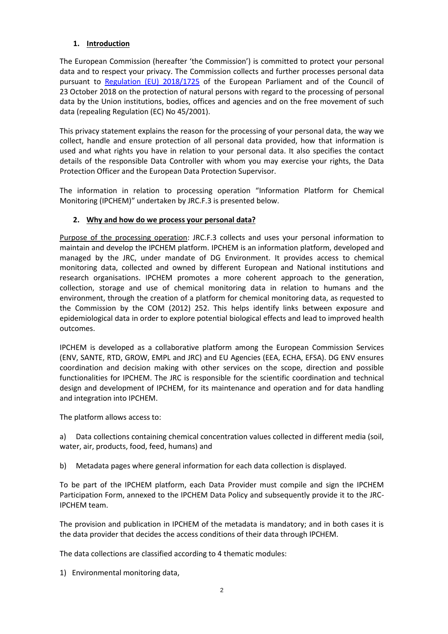# **1. Introduction**

The European Commission (hereafter 'the Commission') is committed to protect your personal data and to respect your privacy. The Commission collects and further processes personal data pursuant to [Regulation \(EU\) 2018/1725](https://eur-lex.europa.eu/legal-content/EN/TXT/?uri=uriserv:OJ.L_.2018.295.01.0039.01.ENG&toc=OJ:L:2018:295:TOC) of the European Parliament and of the Council of 23 October 2018 on the protection of natural persons with regard to the processing of personal data by the Union institutions, bodies, offices and agencies and on the free movement of such data (repealing Regulation (EC) No 45/2001).

This privacy statement explains the reason for the processing of your personal data, the way we collect, handle and ensure protection of all personal data provided, how that information is used and what rights you have in relation to your personal data. It also specifies the contact details of the responsible Data Controller with whom you may exercise your rights, the Data Protection Officer and the European Data Protection Supervisor.

The information in relation to processing operation "Information Platform for Chemical Monitoring (IPCHEM)" undertaken by JRC.F.3 is presented below.

## **2. Why and how do we process your personal data?**

Purpose of the processing operation: JRC.F.3 collects and uses your personal information to maintain and develop the IPCHEM platform. IPCHEM is an information platform, developed and managed by the JRC, under mandate of DG Environment. It provides access to chemical monitoring data, collected and owned by different European and National institutions and research organisations. IPCHEM promotes a more coherent approach to the generation, collection, storage and use of chemical monitoring data in relation to humans and the environment, through the creation of a platform for chemical monitoring data, as requested to the Commission by the COM (2012) 252. This helps identify links between exposure and epidemiological data in order to explore potential biological effects and lead to improved health outcomes.

IPCHEM is developed as a collaborative platform among the European Commission Services (ENV, SANTE, RTD, GROW, EMPL and JRC) and EU Agencies (EEA, ECHA, EFSA). DG ENV ensures coordination and decision making with other services on the scope, direction and possible functionalities for IPCHEM. The JRC is responsible for the scientific coordination and technical design and development of IPCHEM, for its maintenance and operation and for data handling and integration into IPCHEM.

The platform allows access to:

a) Data collections containing chemical concentration values collected in different media (soil, water, air, products, food, feed, humans) and

b) Metadata pages where general information for each data collection is displayed.

To be part of the IPCHEM platform, each Data Provider must compile and sign the IPCHEM Participation Form, annexed to the IPCHEM Data Policy and subsequently provide it to the JRC-IPCHEM team.

The provision and publication in IPCHEM of the metadata is mandatory; and in both cases it is the data provider that decides the access conditions of their data through IPCHEM.

The data collections are classified according to 4 thematic modules:

1) Environmental monitoring data,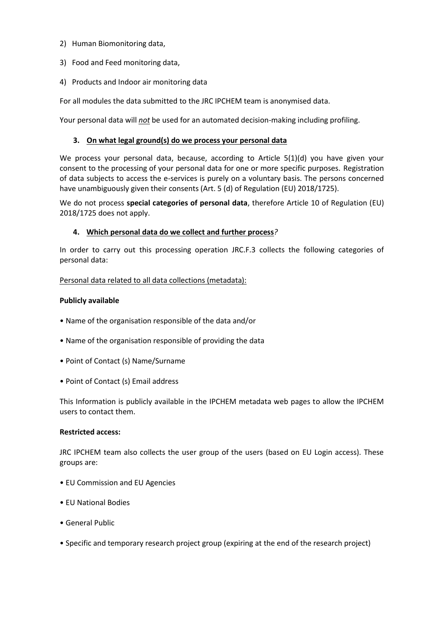- 2) Human Biomonitoring data,
- 3) Food and Feed monitoring data,
- 4) Products and Indoor air monitoring data

For all modules the data submitted to the JRC IPCHEM team is anonymised data.

Your personal data will *not* be used for an automated decision-making including profiling.

### **3. On what legal ground(s) do we process your personal data**

We process your personal data, because, according to Article 5(1)(d) you have given your consent to the processing of your personal data for one or more specific purposes. Registration of data subjects to access the e-services is purely on a voluntary basis. The persons concerned have unambiguously given their consents (Art. 5 (d) of Regulation (EU) 2018/1725).

We do not process **special categories of personal data**, therefore Article 10 of Regulation (EU) 2018/1725 does not apply.

## **4. Which personal data do we collect and further process***?*

In order to carry out this processing operation JRC.F.3 collects the following categories of personal data:

Personal data related to all data collections (metadata):

#### **Publicly available**

- Name of the organisation responsible of the data and/or
- Name of the organisation responsible of providing the data
- Point of Contact (s) Name/Surname
- Point of Contact (s) Email address

This Information is publicly available in the IPCHEM metadata web pages to allow the IPCHEM users to contact them.

### **Restricted access:**

JRC IPCHEM team also collects the user group of the users (based on EU Login access). These groups are:

- EU Commission and EU Agencies
- EU National Bodies
- General Public
- Specific and temporary research project group (expiring at the end of the research project)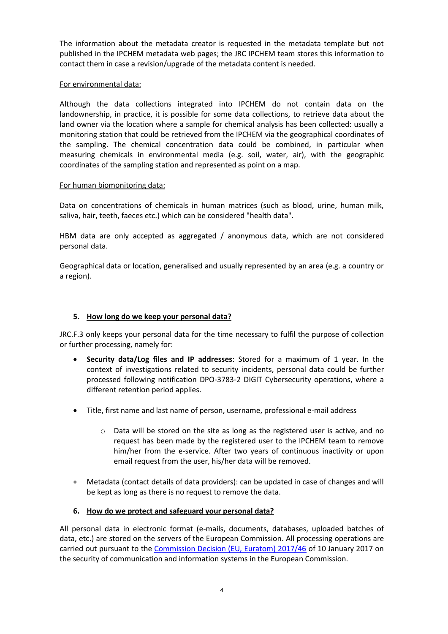The information about the metadata creator is requested in the metadata template but not published in the IPCHEM metadata web pages; the JRC IPCHEM team stores this information to contact them in case a revision/upgrade of the metadata content is needed.

### For environmental data:

Although the data collections integrated into IPCHEM do not contain data on the landownership, in practice, it is possible for some data collections, to retrieve data about the land owner via the location where a sample for chemical analysis has been collected: usually a monitoring station that could be retrieved from the IPCHEM via the geographical coordinates of the sampling. The chemical concentration data could be combined, in particular when measuring chemicals in environmental media (e.g. soil, water, air), with the geographic coordinates of the sampling station and represented as point on a map.

## For human biomonitoring data:

Data on concentrations of chemicals in human matrices (such as blood, urine, human milk, saliva, hair, teeth, faeces etc.) which can be considered "health data".

HBM data are only accepted as aggregated / anonymous data, which are not considered personal data.

Geographical data or location, generalised and usually represented by an area (e.g. a country or a region).

# **5. How long do we keep your personal data?**

JRC.F.3 only keeps your personal data for the time necessary to fulfil the purpose of collection or further processing, namely for:

- **Security data/Log files and IP addresses**: Stored for a maximum of 1 year. In the context of investigations related to security incidents, personal data could be further processed following notification DPO-3783-2 DIGIT Cybersecurity operations, where a different retention period applies.
- Title, first name and last name of person, username, professional e-mail address
	- o Data will be stored on the site as long as the registered user is active, and no request has been made by the registered user to the IPCHEM team to remove him/her from the e-service. After two years of continuous inactivity or upon email request from the user, his/her data will be removed.
- Metadata (contact details of data providers): can be updated in case of changes and will be kept as long as there is no request to remove the data.

# **6. How do we protect and safeguard your personal data?**

All personal data in electronic format (e-mails, documents, databases, uploaded batches of data, etc.) are stored on the servers of the European Commission. All processing operations are carried out pursuant to the [Commission Decision \(EU, Euratom\) 2017/46](https://eur-lex.europa.eu/legal-content/EN/TXT/?qid=1548093747090&uri=CELEX:32017D0046) of 10 January 2017 on the security of communication and information systems in the European Commission.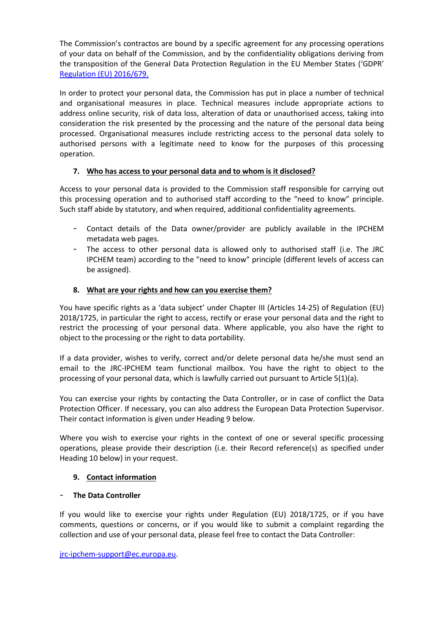The Commission's contractos are bound by a specific agreement for any processing operations of your data on behalf of the Commission, and by the confidentiality obligations deriving from the transposition of the General Data Protection Regulation in the EU Member States ('GDPR' [Regulation \(EU\) 2016/679.](https://eur-lex.europa.eu/legal-content/EN/TXT/?uri=celex%3A32016R0679)

In order to protect your personal data, the Commission has put in place a number of technical and organisational measures in place. Technical measures include appropriate actions to address online security, risk of data loss, alteration of data or unauthorised access, taking into consideration the risk presented by the processing and the nature of the personal data being processed. Organisational measures include restricting access to the personal data solely to authorised persons with a legitimate need to know for the purposes of this processing operation.

# **7. Who has access to your personal data and to whom is it disclosed?**

Access to your personal data is provided to the Commission staff responsible for carrying out this processing operation and to authorised staff according to the "need to know" principle. Such staff abide by statutory, and when required, additional confidentiality agreements.

- Contact details of the Data owner/provider are publicly available in the IPCHEM metadata web pages.
- The access to other personal data is allowed only to authorised staff (i.e. The JRC IPCHEM team) according to the "need to know" principle (different levels of access can be assigned).

## **8. What are your rights and how can you exercise them?**

You have specific rights as a 'data subject' under Chapter III (Articles 14-25) of Regulation (EU) 2018/1725, in particular the right to access, rectify or erase your personal data and the right to restrict the processing of your personal data. Where applicable, you also have the right to object to the processing or the right to data portability.

If a data provider, wishes to verify, correct and/or delete personal data he/she must send an email to the JRC-IPCHEM team functional mailbox. You have the right to object to the processing of your personal data, which is lawfully carried out pursuant to Article 5(1)(a).

You can exercise your rights by contacting the Data Controller, or in case of conflict the Data Protection Officer. If necessary, you can also address the European Data Protection Supervisor. Their contact information is given under Heading 9 below.

Where you wish to exercise your rights in the context of one or several specific processing operations, please provide their description (i.e. their Record reference(s) as specified under Heading 10 below) in your request.

#### **9. Contact information**

#### - **The Data Controller**

If you would like to exercise your rights under Regulation (EU) 2018/1725, or if you have comments, questions or concerns, or if you would like to submit a complaint regarding the collection and use of your personal data, please feel free to contact the Data Controller:

[jrc-ipchem-support@ec.europa.eu.](mailto:jrc-ipchem-support@ec.europa.eu)